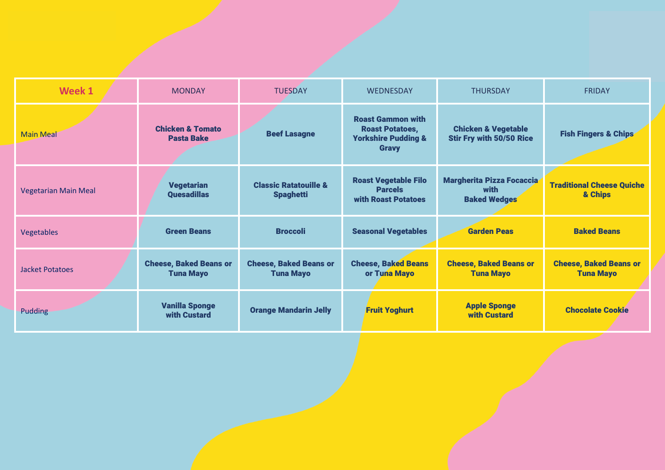| Week 1                      | <b>MONDAY</b>                                     | <b>TUESDAY</b>                                       | <b>WEDNESDAY</b>                                                                                     | <b>THURSDAY</b>                                                   | <b>FRIDAY</b>                                     |
|-----------------------------|---------------------------------------------------|------------------------------------------------------|------------------------------------------------------------------------------------------------------|-------------------------------------------------------------------|---------------------------------------------------|
| <b>Main Meal</b>            | <b>Chicken &amp; Tomato</b><br><b>Pasta Bake</b>  | <b>Beef Lasagne</b>                                  | <b>Roast Gammon with</b><br><b>Roast Potatoes,</b><br><b>Yorkshire Pudding &amp;</b><br><b>Gravy</b> | <b>Chicken &amp; Vegetable</b><br><b>Stir Fry with 50/50 Rice</b> | <b>Fish Fingers &amp; Chips</b>                   |
| <b>Vegetarian Main Meal</b> | <b>Vegetarian</b><br><b>Ouesadillas</b>           | <b>Classic Ratatouille &amp;</b><br><b>Spaghetti</b> | <b>Roast Vegetable Filo</b><br><b>Parcels</b><br>with Roast Potatoes                                 | Margherita Pizza Focaccia<br>with<br><b>Baked Wedges</b>          | <b>Traditional Cheese Quiche</b><br>& Chips       |
| Vegetables                  | <b>Green Beans</b>                                | <b>Broccoli</b>                                      | <b>Seasonal Vegetables</b>                                                                           | <b>Garden Peas</b>                                                | <b>Baked Beans</b>                                |
| <b>Jacket Potatoes</b>      | <b>Cheese, Baked Beans or</b><br><b>Tuna Mayo</b> | <b>Cheese, Baked Beans or</b><br><b>Tuna Mayo</b>    | <b>Cheese, Baked Beans</b><br>or Tuna Mayo                                                           | <b>Cheese, Baked Beans or</b><br><b>Tuna Mayo</b>                 | <b>Cheese, Baked Beans or</b><br><b>Tuna Mayo</b> |
| Pudding                     | <b>Vanilla Sponge</b><br>with Custard             | <b>Orange Mandarin Jelly</b>                         | <b>Fruit Yoghurt</b>                                                                                 | <b>Apple Sponge</b><br>with Custard                               | <b>Chocolate Cookie</b>                           |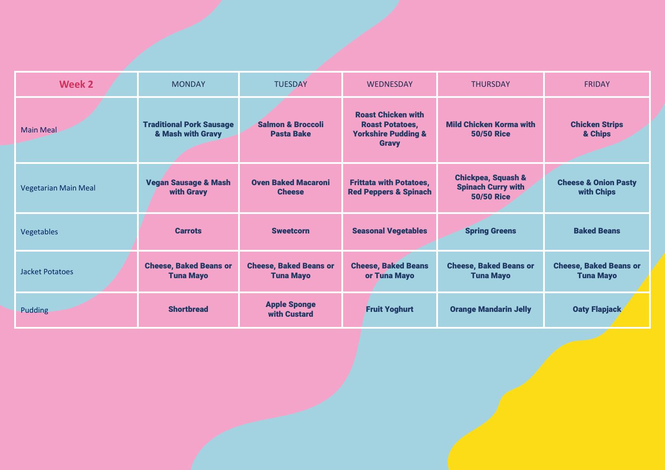| <b>Week 2</b>               | <b>MONDAY</b>                                        | <b>TUESDAY</b>                                    | <b>WEDNESDAY</b>                                                                                      | <b>THURSDAY</b>                                                                 | <b>FRIDAY</b>                                     |
|-----------------------------|------------------------------------------------------|---------------------------------------------------|-------------------------------------------------------------------------------------------------------|---------------------------------------------------------------------------------|---------------------------------------------------|
| <b>Main Meal</b>            | <b>Traditional Pork Sausage</b><br>& Mash with Gravy | <b>Salmon &amp; Broccoli</b><br><b>Pasta Bake</b> | <b>Roast Chicken with</b><br><b>Roast Potatoes,</b><br><b>Yorkshire Pudding &amp;</b><br><b>Gravy</b> | <b>Mild Chicken Korma with</b><br><b>50/50 Rice</b>                             | <b>Chicken Strips</b><br>& Chips                  |
| <b>Vegetarian Main Meal</b> | <b>Vegan Sausage &amp; Mash</b><br>with Gravy        | <b>Oven Baked Macaroni</b><br><b>Cheese</b>       | <b>Frittata with Potatoes,</b><br><b>Red Peppers &amp; Spinach</b>                                    | <b>Chickpea, Squash &amp;</b><br><b>Spinach Curry with</b><br><b>50/50 Rice</b> | <b>Cheese &amp; Onion Pasty</b><br>with Chips     |
| Vegetables                  | <b>Carrots</b>                                       | <b>Sweetcorn</b>                                  | <b>Seasonal Vegetables</b>                                                                            | <b>Spring Greens</b>                                                            | <b>Baked Beans</b>                                |
| Jacket Potatoes             | <b>Cheese, Baked Beans or</b><br><b>Tuna Mayo</b>    | <b>Cheese, Baked Beans or</b><br><b>Tuna Mayo</b> | <b>Cheese, Baked Beans</b><br>or Tuna Mayo                                                            | <b>Cheese, Baked Beans or</b><br><b>Tuna Mayo</b>                               | <b>Cheese, Baked Beans or</b><br><b>Tuna Mayo</b> |
| <b>Pudding</b>              | <b>Shortbread</b>                                    | <b>Apple Sponge</b><br>with Custard               | <b>Fruit Yoghurt</b>                                                                                  | <b>Orange Mandarin Jelly</b>                                                    | <b>Oaty Flapjack</b>                              |